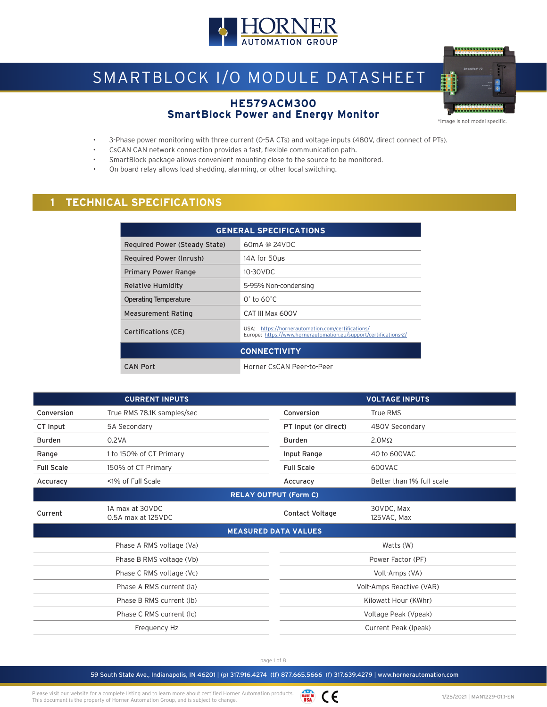

# SMARTBLOCK I/O MODULE DATASHEET

#### **HE579ACM300 SmartBlock Power and Energy Monitor**



\*Image is not model specific.

- 3-Phase power monitoring with three current (0-5A CTs) and voltage inputs (480V, direct connect of PTs).
- CsCAN CAN network connection provides a fast, flexible communication path.
- SmartBlock package allows convenient mounting close to the source to be monitored.
- On board relay allows load shedding, alarming, or other local switching.

# **1 TECHNICAL SPECIFICATIONS**

| <b>GENERAL SPECIFICATIONS</b>                                                                                                                        |                            |  |  |  |
|------------------------------------------------------------------------------------------------------------------------------------------------------|----------------------------|--|--|--|
| 60mA @ 24VDC<br>Required Power (Steady State)                                                                                                        |                            |  |  |  |
| Required Power (Inrush)                                                                                                                              | 14A for 50us               |  |  |  |
| <b>Primary Power Range</b>                                                                                                                           | 10-30VDC                   |  |  |  |
| Relative Humidity                                                                                                                                    | 5-95% Non-condensing       |  |  |  |
| <b>Operating Temperature</b>                                                                                                                         | $0^\circ$ to 60 $^\circ$ C |  |  |  |
| <b>Measurement Rating</b>                                                                                                                            | CAT III Max 600V           |  |  |  |
| USA: https://hornerautomation.com/certifications/<br><b>Certifications (CE)</b><br>Europe: https://www.hornerautomation.eu/support/certifications-2/ |                            |  |  |  |
| <b>CONNECTIVITY</b>                                                                                                                                  |                            |  |  |  |
| <b>CAN Port</b>                                                                                                                                      | Horner CsCAN Peer-to-Peer  |  |  |  |

|                   | <b>CURRENT INPUTS</b>                 |                          | <b>VOLTAGE INPUTS</b>     |
|-------------------|---------------------------------------|--------------------------|---------------------------|
| Conversion        | True RMS 78.1K samples/sec            | Conversion               | True RMS                  |
| CT Input          | 5A Secondary                          | PT Input (or direct)     | 480V Secondary            |
| <b>Burden</b>     | 0.2VA                                 | <b>Burden</b>            | $2.0M\Omega$              |
| Range             | 1 to 150% of CT Primary               | Input Range              | 40 to 600VAC              |
| <b>Full Scale</b> | 150% of CT Primary                    | <b>Full Scale</b>        | 600VAC                    |
| Accuracy          | <1% of Full Scale                     | Accuracy                 | Better than 1% full scale |
|                   | <b>RELAY OUTPUT (Form C)</b>          |                          |                           |
| Current           | 1A max at 30VDC<br>0.5A max at 125VDC | Contact Voltage          | 30VDC, Max<br>125VAC, Max |
|                   | <b>MEASURED DATA VALUES</b>           |                          |                           |
|                   | Phase A RMS voltage (Va)              |                          | Watts (W)                 |
|                   | Phase B RMS voltage (Vb)              |                          | Power Factor (PF)         |
|                   | Phase C RMS voltage (Vc)              | Volt-Amps (VA)           |                           |
|                   | Phase A RMS current (la)              | Volt-Amps Reactive (VAR) |                           |
|                   | Phase B RMS current (Ib)              | Kilowatt Hour (KWhr)     |                           |
|                   | Phase C RMS current (Ic)              | Voltage Peak (Vpeak)     |                           |
|                   | Frequency Hz                          | Current Peak (Ipeak)     |                           |

page 1 of 8

59 South State Ave., Indianapolis, IN 46201 | (p) 317.916.4274 (tf) 877.665.5666 (f) 317.639.4279 | www.hornerautomation.com

WADE IN CE Please visit our website for a complete listing and to learn more about certified Horner Automation products. This document is the property of Horner Automation Group, and is subject to change.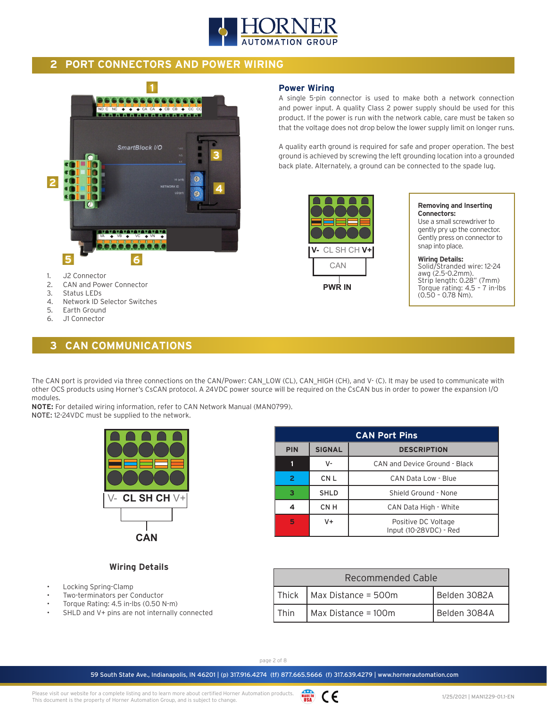

**Power Wiring**

**V-** CL SH CH **V+**

**PWR IN**

CAN

## **2 PORT CONNECTORS AND POWER WIRING**



- 2. CAN and Power Connector
- 3. Status LEDs
- 4. Network ID Selector Switches<br>5. Earth Ground
- Earth Ground
- 6. J1 Connector

## **3 CAN COMMUNICATIONS**

#### The CAN port is provided via three connections on the CAN/Power: CAN\_LOW (CL), CAN\_HIGH (CH), and V- (C). It may be used to communicate with other OCS products using Horner's CsCAN protocol. A 24VDC power source will be required on the CsCAN bus in order to power the expansion I/O modules.

**NOTE:** For detailed wiring information, refer to CAN Network Manual (MAN0799).

NOTE: 12-24VDC must be supplied to the network.



| <b>CAN Port Pins</b> |                                     |                                               |  |  |
|----------------------|-------------------------------------|-----------------------------------------------|--|--|
| <b>PIN</b>           | <b>SIGNAL</b><br><b>DESCRIPTION</b> |                                               |  |  |
|                      | v-                                  | CAN and Device Ground - Black                 |  |  |
| 2                    | CN <sub>L</sub>                     | CAN Data Low - Blue                           |  |  |
| з                    | <b>SHLD</b>                         | Shield Ground - None                          |  |  |
|                      | CN H                                | CAN Data High - White                         |  |  |
| 5                    | $V +$                               | Positive DC Voltage<br>Input (10-28VDC) - Red |  |  |

#### **Wiring Details**

- Locking Spring-Clamp
- Two-terminators per Conductor
- Torque Rating: 4.5 in-lbs (0.50 N-m)
- SHLD and V+ pins are not internally connected

| Recommended Cable                           |                                               |  |  |
|---------------------------------------------|-----------------------------------------------|--|--|
|                                             | Thick   Max Distance = $500m$<br>Belden 3082A |  |  |
| Max Distance = 100m<br>Belden 3084A<br>Thin |                                               |  |  |

page 2 of 8

59 South State Ave., Indianapolis, IN 46201 | (p) 317.916.4274 (tf) 877.665.5666 (f) 317.639.4279 | www.hornerautomation.com

#### **Removing and Inserting Connectors:**

Use a small screwdriver to gently pry up the connector. Gently press on connector to snap into place.

A single 5-pin connector is used to make both a network connection and power input. A quality Class 2 power supply should be used for this product. If the power is run with the network cable, care must be taken so that the voltage does not drop below the lower supply limit on longer runs.

A quality earth ground is required for safe and proper operation. The best ground is achieved by screwing the left grounding location into a grounded back plate. Alternately, a ground can be connected to the spade lug.

> **Wiring Details:**  Solid/Stranded wire: 12-24 awg (2.5-0.2mm). Strip length: 0.28" (7mm) Torque rating: 4.5 – 7 in-lbs (0.50 – 0.78 Nm).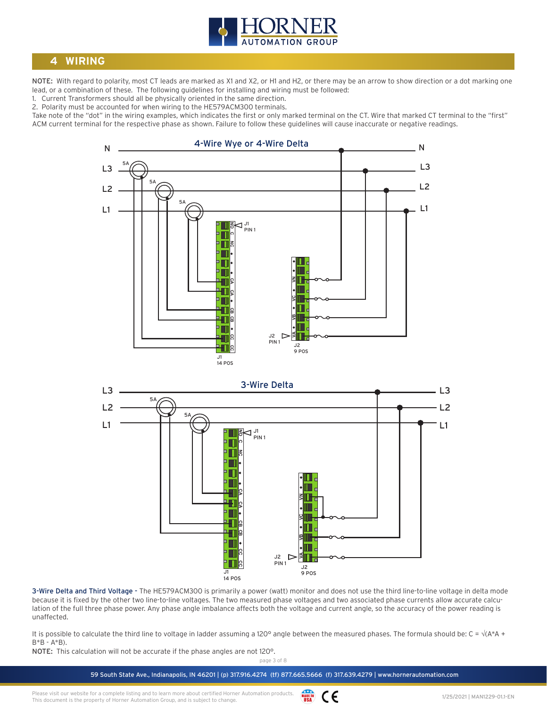

## **4 WIRING**

NOTE: With regard to polarity, most CT leads are marked as X1 and X2, or H1 and H2, or there may be an arrow to show direction or a dot marking one lead, or a combination of these. The following guidelines for installing and wiring must be followed:

1. Current Transformers should all be physically oriented in the same direction.

2. Polarity must be accounted for when wiring to the HE579ACM300 terminals.

Take note of the "dot" in the wiring examples, which indicates the first or only marked terminal on the CT. Wire that marked CT terminal to the "first" ACM current terminal for the respective phase as shown. Failure to follow these guidelines will cause inaccurate or negative readings.





3-Wire Delta and Third Voltage - The HE579ACM300 is primarily a power (watt) monitor and does not use the third line-to-line voltage in delta mode because it is fixed by the other two line-to-line voltages. The two measured phase voltages and two associated phase currents allow accurate calculation of the full three phase power. Any phase angle imbalance affects both the voltage and current angle, so the accuracy of the power reading is unaffected.

It is possible to calculate the third line to voltage in ladder assuming a 120° angle between the measured phases. The formula should be: C =  $\sqrt{(A^*A + B^*)^2}$ B\*B - A\*B).

NOTE: This calculation will not be accurate if the phase angles are not 120°.

page 3 of 8

59 South State Ave., Indianapolis, IN 46201 | (p) 317.916.4274 (tf) 877.665.5666 (f) 317.639.4279 | www.hornerautomation.com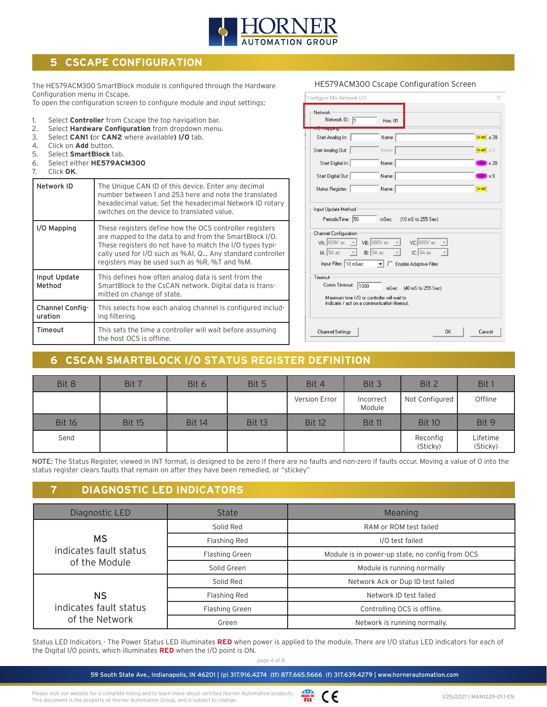

# **5 CSCAPE CONFIGURATION**

The HE579ACM300 SmartBlock module is configured through the Hardware Configuration menu in Cscape.

To open the configuration screen to configure module and input settings:

- 1. Select **Controller** from Cscape the top navigation bar.
- 2. Select **Hardware Configuration** from dropdown menu.
- 3. Select **CAN1 (**or **CAN2** where available**) I/O** tab.
- 4. Click on **Add** button.
- 5. Select **SmartBlock** tab.
- 6. Select either **HE579ACM300**
- 7. Click **OK**.

| Network ID                 | The Unique CAN ID of this device. Enter any decimal<br>number between 1 and 253 here and note the translated<br>hexadecimal value. Set the hexadecimal Network ID rotary<br>switches on the device to translated value.                                                                    |  |
|----------------------------|--------------------------------------------------------------------------------------------------------------------------------------------------------------------------------------------------------------------------------------------------------------------------------------------|--|
| I/O Mapping                | These registers define how the OCS controller registers<br>are mapped to the data to and from the SmartBlock I/O.<br>These registers do not have to match the I/O types typi-<br>cally used for I/O such as %AI, Q Any standard controller<br>registers may be used such as %R, %T and %M. |  |
| Input Update<br>Method     | This defines how often analog data is sent from the<br>SmartBlock to the CsCAN network. Digital data is trans-<br>mitted on change of state.                                                                                                                                               |  |
| Channel Config-<br>uration | This selects how each analog channel is configured includ-<br>ing filtering.                                                                                                                                                                                                               |  |
| Timeout                    | This sets the time a controller will wait before assuming<br>the host OCS is offline.                                                                                                                                                                                                      |  |

| Network ID: 1                                                    | Hex: 01                                                                                            |                   |
|------------------------------------------------------------------|----------------------------------------------------------------------------------------------------|-------------------|
| 201112121211121<br>Start Analog In:                              | Name:                                                                                              | 16-віт х 28       |
| Start Analog Out:                                                | Name:                                                                                              | 16-BIT X 0        |
| Start Digital In:                                                | Name:                                                                                              | $1-817 \times 20$ |
| Start Digital Out:                                               | Name:                                                                                              | $F$ and $x$ 8     |
| Status Register:                                                 | Name:                                                                                              | 16-BIT            |
| Input Update Method<br>PeriodicTime: 50<br>Channel Configuration | (10 mS to 255 Sec)<br>mSec                                                                         |                   |
| $ A $ : 54 ac $-$                                                | $VA: 600V$ ac $\sqrt{ }$ VB: 600V ac $\sqrt{ }$ VC: 600V ac<br>$IB: 5A$ ac $\rightarrow$ IC: 5A ac |                   |
| Input Filter: 10 mSec                                            | Enable Adaptive Filter<br>$\mathbf{v}$                                                             |                   |
| Timeout                                                          |                                                                                                    |                   |

HE579ACM300 Cscape Configuration Screen

# **6 CSCAN SMARTBLOCK I/O STATUS REGISTER DEFINITION**

| Bit 8         | Bit 7         | Bit 6         | Bit 5         | Bit 4         | Bit 3               | Bit 2                | Bit 1                |
|---------------|---------------|---------------|---------------|---------------|---------------------|----------------------|----------------------|
|               |               |               |               | Version Error | Incorrect<br>Module | Not Configured       | Offline              |
| <b>Bit 16</b> | <b>Bit 15</b> | <b>Bit 14</b> | <b>Bit 13</b> | <b>Bit 12</b> | <b>Bit 11</b>       | <b>Bit 10</b>        | Bit 9                |
| Send          |               |               |               |               |                     | Reconfig<br>(Sticky) | Lifetime<br>(Sticky) |

NOTE: The Status Register, viewed in INT format, is designed to be zero if there are no faults and non-zero if faults occur. Moving a value of 0 into the status register clears faults that remain on after they have been remedied, or "stickey"

## **7 DIAGNOSTIC LED INDICATORS**

| Diagnostic LED         | <b>State</b>   | Meaning                                         |  |
|------------------------|----------------|-------------------------------------------------|--|
|                        | Solid Red      | RAM or ROM test failed                          |  |
| <b>MS</b>              | Flashing Red   | I/O test failed                                 |  |
| indicates fault status | Flashing Green | Module is in power-up state, no config from OCS |  |
| of the Module          | Solid Green    | Module is running normally                      |  |
|                        | Solid Red      | Network Ack or Dup ID test failed               |  |
| NS                     | Flashing Red   | Network ID test failed                          |  |
| indicates fault status | Flashing Green | Controlling OCS is offline.                     |  |
| of the Network         | Green          | Network is running normally.                    |  |

Status LED Indicators - The Power Status LED illuminates **RED** when power is applied to the module. There are I/O status LED indicators for each of the Digital I/O points, which illuminates **RED** when the I/O point is ON.

page 4 of 8

59 South State Ave., Indianapolis, IN 46201 | (p) 317.916.4274 (tf) 877.665.5666 (f) 317.639.4279 | www.hornerautomation.com

Please visit our website for a complete listing and to learn more about certified Horner Automation products. This document is the property of Horner Automation Group, and is subject to change.

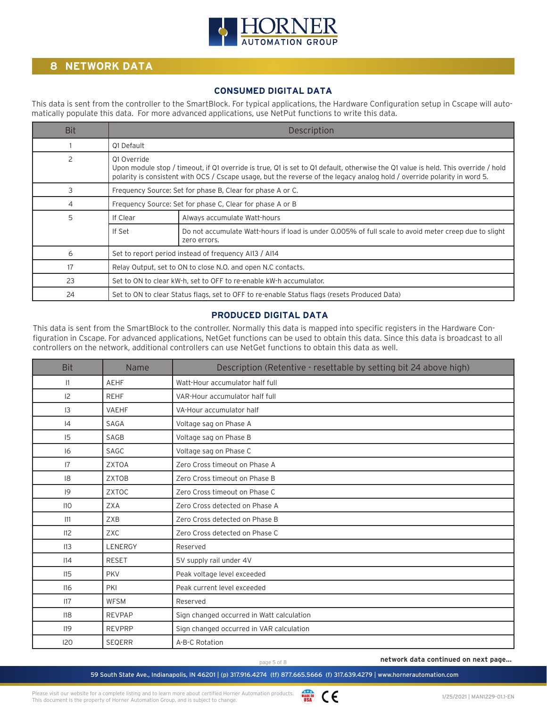

# **8 NETWORK DATA**

#### **CONSUMED DIGITAL DATA**

This data is sent from the controller to the SmartBlock. For typical applications, the Hardware Configuration setup in Cscape will automatically populate this data. For more advanced applications, use NetPut functions to write this data.

| <b>Bit</b>    | Description                                                                                                                                                                                                                                                                  |                                                                                              |  |
|---------------|------------------------------------------------------------------------------------------------------------------------------------------------------------------------------------------------------------------------------------------------------------------------------|----------------------------------------------------------------------------------------------|--|
|               | 01 Default                                                                                                                                                                                                                                                                   |                                                                                              |  |
| $\mathcal{P}$ | 01 Override<br>Upon module stop / timeout, if Q1 override is true, Q1 is set to Q1 default, otherwise the Q1 value is held. This override / hold<br>polarity is consistent with OCS / Cscape usage, but the reverse of the legacy analog hold / override polarity in word 5. |                                                                                              |  |
| 3             |                                                                                                                                                                                                                                                                              | Frequency Source: Set for phase B, Clear for phase A or C.                                   |  |
| 4             |                                                                                                                                                                                                                                                                              | Frequency Source: Set for phase C, Clear for phase A or B                                    |  |
| 5             | If Clear                                                                                                                                                                                                                                                                     | Always accumulate Watt-hours                                                                 |  |
|               | Do not accumulate Watt-hours if load is under 0.005% of full scale to avoid meter creep due to slight<br>If Set<br>zero errors.                                                                                                                                              |                                                                                              |  |
| 6             | Set to report period instead of frequency Al13 / Al14                                                                                                                                                                                                                        |                                                                                              |  |
| 17            | Relay Output, set to ON to close N.O. and open N.C contacts.                                                                                                                                                                                                                 |                                                                                              |  |
| 23            |                                                                                                                                                                                                                                                                              | Set to ON to clear kW-h, set to OFF to re-enable kW-h accumulator.                           |  |
| 24            |                                                                                                                                                                                                                                                                              | Set to ON to clear Status flags, set to OFF to re-enable Status flags (resets Produced Data) |  |

#### **PRODUCED DIGITAL DATA**

This data is sent from the SmartBlock to the controller. Normally this data is mapped into specific registers in the Hardware Configuration in Cscape. For advanced applications, NetGet functions can be used to obtain this data. Since this data is broadcast to all controllers on the network, additional controllers can use NetGet functions to obtain this data as well.

| <b>Bit</b> | Name          | Description (Retentive - resettable by setting bit 24 above high) |  |
|------------|---------------|-------------------------------------------------------------------|--|
| 1          | <b>AEHF</b>   | Watt-Hour accumulator half full                                   |  |
| 12         | <b>REHF</b>   | VAR-Hour accumulator half full                                    |  |
| 13         | <b>VAEHF</b>  | VA-Hour accumulator half                                          |  |
| 4          | <b>SAGA</b>   | Voltage sag on Phase A                                            |  |
| 15         | SAGB          | Voltage sag on Phase B                                            |  |
| 16         | <b>SAGC</b>   | Voltage sag on Phase C                                            |  |
| 7          | <b>ZXTOA</b>  | Zero Cross timeout on Phase A                                     |  |
| 8          | <b>ZXTOB</b>  | Zero Cross timeout on Phase B                                     |  |
| 9          | ZXTOC         | Zero Cross timeout on Phase C                                     |  |
| 110        | <b>ZXA</b>    | Zero Cross detected on Phase A                                    |  |
| 111        | ZXB           | Zero Cross detected on Phase B                                    |  |
| 112        | <b>ZXC</b>    | Zero Cross detected on Phase C                                    |  |
| 113        | LENERGY       | Reserved                                                          |  |
| 14         | <b>RESET</b>  | 5V supply rail under 4V                                           |  |
| 115        | <b>PKV</b>    | Peak voltage level exceeded                                       |  |
| 116        | PKI           | Peak current level exceeded                                       |  |
| 117        | <b>WFSM</b>   | Reserved                                                          |  |
| 118        | <b>REVPAP</b> | Sign changed occurred in Watt calculation                         |  |
| 119        | <b>REVPRP</b> | Sign changed occurred in VAR calculation                          |  |
| 120        | <b>SEQERR</b> | A-B-C Rotation                                                    |  |

MADE IN CE

page 5 of 8 **network data continued on next page...**

59 South State Ave., Indianapolis, IN 46201 | (p) 317.916.4274 (tf) 877.665.5666 (f) 317.639.4279 | www.hornerautomation.com

Please visit our website for a complete listing and to learn more about certified Horner Automation products. This document is the property of Horner Automation Group, and is subject to change.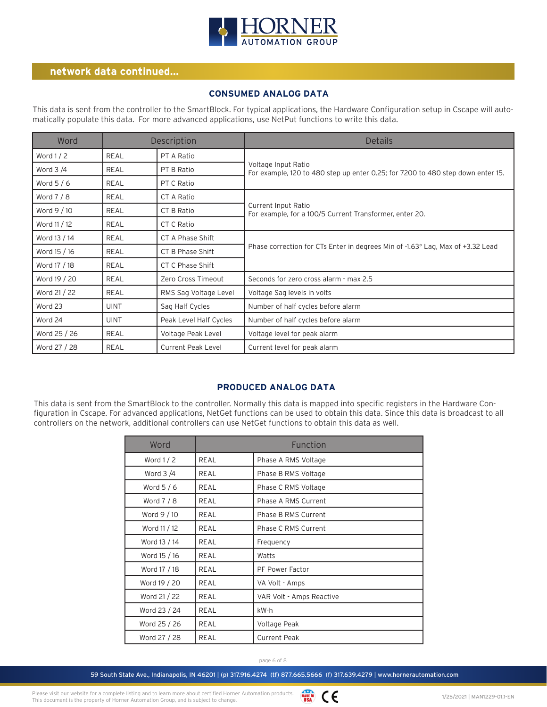

#### **network data continued...**

#### **CONSUMED ANALOG DATA**

This data is sent from the controller to the SmartBlock. For typical applications, the Hardware Configuration setup in Cscape will automatically populate this data. For more advanced applications, use NetPut functions to write this data.

| Word         |             | Description               | <b>Details</b>                                                                                         |
|--------------|-------------|---------------------------|--------------------------------------------------------------------------------------------------------|
| Word $1/2$   | REAL        | PT A Ratio                |                                                                                                        |
| Word $3/4$   | REAL        | PT B Ratio                | Voltage Input Ratio<br>For example, 120 to 480 step up enter 0.25; for 7200 to 480 step down enter 15. |
| Word $5/6$   | REAL        | PT C Ratio                |                                                                                                        |
| Word $7/8$   | REAL        | CT A Ratio                |                                                                                                        |
| Word 9 / 10  | REAL        | CT B Ratio                | Current Input Ratio<br>For example, for a 100/5 Current Transformer, enter 20.                         |
| Word 11 / 12 | REAL        | CT C Ratio                |                                                                                                        |
| Word 13 / 14 | REAL        | CT A Phase Shift          |                                                                                                        |
| Word 15 / 16 | REAL        | CT B Phase Shift          | Phase correction for CTs Enter in degrees Min of -1.63° Lag, Max of +3.32 Lead                         |
| Word 17 / 18 | REAL        | CT C Phase Shift          |                                                                                                        |
| Word 19 / 20 | REAL        | Zero Cross Timeout        | Seconds for zero cross alarm - max 2.5                                                                 |
| Word 21 / 22 | REAL        | RMS Sag Voltage Level     | Voltage Sag levels in volts                                                                            |
| Word 23      | <b>UINT</b> | Sag Half Cycles           | Number of half cycles before alarm                                                                     |
| Word 24      | <b>UINT</b> | Peak Level Half Cycles    | Number of half cycles before alarm                                                                     |
| Word 25 / 26 | REAL        | Voltage Peak Level        | Voltage level for peak alarm                                                                           |
| Word 27 / 28 | REAL        | <b>Current Peak Level</b> | Current level for peak alarm                                                                           |

#### **PRODUCED ANALOG DATA**

This data is sent from the SmartBlock to the controller. Normally this data is mapped into specific registers in the Hardware Configuration in Cscape. For advanced applications, NetGet functions can be used to obtain this data. Since this data is broadcast to all controllers on the network, additional controllers can use NetGet functions to obtain this data as well.

| Word         | Function |                          |  |
|--------------|----------|--------------------------|--|
| Word $1/2$   | REAL     | Phase A RMS Voltage      |  |
| Word $3/4$   | REAL     | Phase B RMS Voltage      |  |
| Word $5/6$   | REAL     | Phase C RMS Voltage      |  |
| Word $7/8$   | REAL     | Phase A RMS Current      |  |
| Word 9 / 10  | REAL     | Phase B RMS Current      |  |
| Word 11 / 12 | REAL     | Phase C RMS Current      |  |
| Word 13 / 14 | REAL     | Frequency                |  |
| Word 15 / 16 | REAL     | Watts                    |  |
| Word 17 / 18 | REAL     | PF Power Factor          |  |
| Word 19 / 20 | REAL     | VA Volt - Amps           |  |
| Word 21 / 22 | REAL     | VAR Volt - Amps Reactive |  |
| Word 23 / 24 | REAL     | kW-h                     |  |
| Word 25 / 26 | REAL     | Voltage Peak             |  |
| Word 27 / 28 | REAL     | <b>Current Peak</b>      |  |

page 6 of 8

59 South State Ave., Indianapolis, IN 46201 | (p) 317.916.4274 (tf) 877.665.5666 (f) 317.639.4279 | www.hornerautomation.com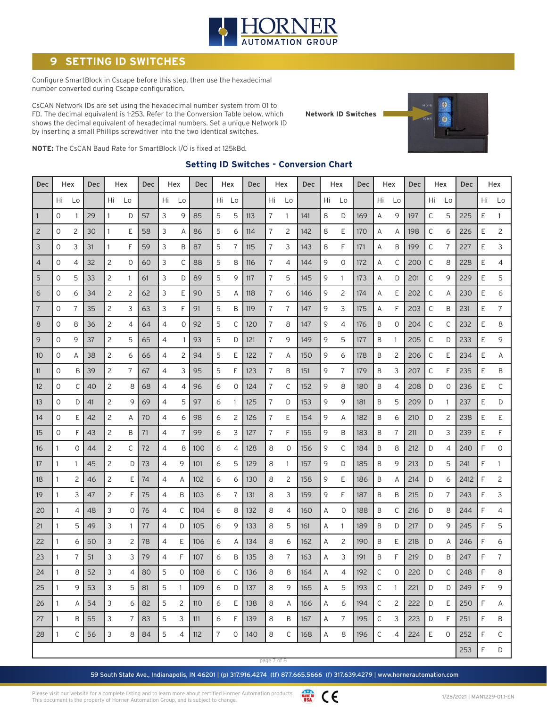

# **SETTING ID SWITCHES**

Configure SmartBlock in Cscape before this step, then use the hexadecimal number converted during Cscape configuration.

CsCAN Network IDs are set using the hexadecimal number system from 01 to FD. The decimal equivalent is 1-253. Refer to the Conversion Table below, which shows the decimal equivalent of hexadecimal numbers. Set a unique Network ID by inserting a small Phillips screwdriver into the two identical switches.

**Network ID Switches**



**NOTE:** The CsCAN Baud Rate for SmartBlock I/O is fixed at 125kBd.

#### **Setting ID Switches - Conversion Chart**

| <b>Dec</b>     |              | Hex            | Dec<br>Hex |    |                | <b>Dec</b><br>Hex |    |              | Dec |    | Hex<br><b>Dec</b> |     | Hex            |    | Dec | Hex |                | <b>Dec</b> | Hex         |              | <b>Dec</b> | Hex |    | Dec  |    | Hex            |
|----------------|--------------|----------------|------------|----|----------------|-------------------|----|--------------|-----|----|-------------------|-----|----------------|----|-----|-----|----------------|------------|-------------|--------------|------------|-----|----|------|----|----------------|
|                | Hi.          | Lo             |            | Hi | Lo             |                   | Hi | Lo           |     | Hi | Lo                |     | Hi             | Lo |     | Hi  | Lo             |            | Hi          | Lo           |            | Hi  | Lo |      | Hi | Lo             |
| $\mathbf{1}$   | 0            | 1              | 29         |    | D              | 57                | 3  | 9            | 85  | 5  | 5                 | 113 | 7              | 1  | 141 | 8   | D              | 169        | Α           | 9            | 197        | С   | 5  | 225  | Ε  | 1              |
| $\overline{c}$ | 0            | $\overline{c}$ | 30         | 1  | Ε              | 58                | 3  | Α            | 86  | 5  | 6                 | 114 | 7              | 2  | 142 | 8   | Ε              | 170        | Α           | Α            | 198        | С   | 6  | 226  | E  | $\overline{c}$ |
| 3              | $\circ$      | 3              | 31         | 1  | F              | 59                | 3  | B            | 87  | 5  | 7                 | 115 | 7              | 3  | 143 | 8   | F              | 171        | Α           | B            | 199        | С   | 7  | 227  | E  | 3              |
| $\overline{4}$ | 0            | 4              | 32         | 2  | $\circ$        | 60                | 3  | C            | 88  | 5  | 8                 | 116 | 7              | 4  | 144 | 9   | $\mathbf 0$    | 172        | Α           | С            | 200        | С   | 8  | 228  | Ε  | 4              |
| 5              | 0            | 5              | 33         | 2  | $\mathbf{1}$   | 61                | 3  | D            | 89  | 5  | 9                 | 117 | 7              | 5  | 145 | 9   | 1              | 173        | Α           | D            | 201        | С   | 9  | 229  | Ε  | 5              |
| 6              | 0            | 6              | 34         | 2  | 2              | 62                | 3  | Ε            | 90  | 5  | Α                 | 118 | 7              | 6  | 146 | 9   | $\overline{c}$ | 174        | Α           | Ε            | 202        | С   | Α  | 230  | Ε  | 6              |
| 7              | $\circ$      | 7              | 35         | 2  | 3              | 63                | 3  | F            | 91  | 5  | B                 | 119 | 7              | 7  | 147 | 9   | 3              | 175        | Α           | F            | 203        | C   | B  | 231  | E  | 7              |
| 8              | $\circ$      | 8              | 36         | 2  | 4              | 64                | 4  | 0            | 92  | 5  | C                 | 120 | 7              | 8  | 147 | 9   | 4              | 176        | B           | 0            | 204        | С   | C  | 232  | E  | 8              |
| 9              | 0            | 9              | 37         | 2  | 5              | 65                | 4  | -1           | 93  | 5  | D                 | 121 | 7              | 9  | 149 | 9   | 5              | 177        | B           | -1           | 205        | С   | D  | 233  | Ε  | 9              |
| 10             | 0            | Α              | 38         | 2  | 6              | 66                | 4  | 2            | 94  | 5  | Ε                 | 122 | 7              | A  | 150 | 9   | 6              | 178        | B           | 2            | 206        | С   | Ε  | 234  | Ε  | Α              |
| 11             | 0            | Β              | 39         | 2  | 7              | 67                | 4  | 3            | 95  | 5  | F                 | 123 | 7              | B  | 151 | 9   | 7              | 179        | B           | 3            | 207        | С   | F  | 235  | Ε  | Β              |
| 12             | $\mathbf{O}$ | C              | 40         | 2  | 8              | 68                | 4  | 4            | 96  | 6  | 0                 | 124 | $\overline{7}$ | C  | 152 | 9   | 8              | 180        | B           | 4            | 208        | D   | 0  | 236  | E  | C              |
| 13             | 0            | D              | 41         | 2  | 9              | 69                | 4  | 5            | 97  | 6  | 1                 | 125 | 7              | D  | 153 | 9   | 9              | 181        | B           | 5            | 209        | D   | 1  | 237  | Ε  | D              |
| 14             | 0            | Ε              | 42         | 2  | A              | 70                | 4  | 6            | 98  | 6  | 2                 | 126 | 7              | E  | 154 | 9   | Α              | 182        | Β           | 6            | 210        | D   | 2  | 238  | Ε  | Ε              |
| 15             | 0            | F              | 43         | 2  | B              | 71                | 4  | 7            | 99  | 6  | 3                 | 127 | 7              | F  | 155 | 9   | B              | 183        | B           | 7            | 211        | D   | 3  | 239  | E  | F              |
| 16             | 1            | $\Omega$       | 44         | 2  | С              | 72                | 4  | 8            | 100 | 6  | 4                 | 128 | 8              | 0  | 156 | 9   | С              | 184        | B           | 8            | 212        | D   | 4  | 240  | F  | $\mathbf 0$    |
| 17             | 1            |                | 45         | 2  | D              | 73                | 4  | 9            | 101 | 6  | 5                 | 129 | 8              | 1. | 157 | 9   | D              | 185        | B           | 9            | 213        | D   | 5  | 241  | F  | 1              |
| 18             |              | 2              | 46         | 2  | Ε              | 74                | 4  | Α            | 102 | 6  | 6                 | 130 | 8              | 2  | 158 | 9   | Ε              | 186        | B           | Α            | 214        | D   | 6  | 2412 | F  | 2              |
| 19             |              | 3              | 47         | 2  | F              | 75                | 4  | B            | 103 | 6  | 7                 | 131 | 8              | 3  | 159 | 9   | F              | 187        | B           | Β            | 215        | D   | 7  | 243  | F  | 3              |
| 20             |              | 4              | 48         | 3  | 0              | 76                | 4  | С            | 104 | 6  | 8                 | 132 | 8              | 4  | 160 | Α   | 0              | 188        | B           | С            | 216        | D   | 8  | 244  | F  | 4              |
| 21             |              | 5              | 49         | 3  | 1              | 77                | 4  | D            | 105 | 6  | 9                 | 133 | 8              | 5  | 161 | Α   | 1              | 189        | Β           | D            | 217        | D   | 9  | 245  | F  | 5              |
| 22             | 1            | 6              | 50         | 3  | $\overline{c}$ | 78                | 4  | Ε            | 106 | 6  | Α                 | 134 | 8              | 6  | 162 | Α   | $\overline{2}$ | 190        | B           | Ε            | 218        | D   | A  | 246  | F  | 6              |
| 23             |              | 7              | 51         | 3  | 3              | 79                | 4  | F            | 107 | 6  | Β                 | 135 | 8              | 7  | 163 | Α   | 3              | 191        | Β           | F            | 219        | D   | B  | 247  | F  | 7              |
| 24             | $\mathbf{1}$ | 8              | 52         | 3  | 4              | 80                | 5  | 0            | 108 | 6  | С                 | 136 | 8              | 8  | 164 | A   | 4              | 192        | $\mathsf C$ | 0            | 220        | D   | С  | 248  | F  | 8              |
| 25             | 1            | 9              | 53         | 3  | 5              | 81                | 5  | $\mathbf{1}$ | 109 | 6  | D                 | 137 | 8              | 9  | 165 | Α   | 5              | 193        | С           | $\mathbf{1}$ | 221        | D   | D  | 249  | F  | 9              |
| 26             | 1            | A              | 54         | 3  | 6              | 82                | 5  | 2            | 110 | 6  | E                 | 138 | 8              | A  | 166 | Α   | 6              | 194        | С           | 2            | 222        | D   | E  | 250  | F  | Α              |
| 27             | 1            | B              | 55         | 3  | $\overline{7}$ | 83                | 5  | 3            | 111 | 6  | F                 | 139 | 8              | B  | 167 | Α   | 7              | 195        | $\mathsf C$ | 3            | 223        | D   | F. | 251  | F  | В              |
| 28             | 1.           | $\mathsf{C}$   | 56         | 3  | 8              | 84                | 5  | 4            | 112 | 7  | 0                 | 140 | 8              | C  | 168 | Α   | 8              | 196        | $\mathsf C$ | 4            | 224        | E   | 0  | 252  | F  | C              |
|                |              |                |            |    |                |                   |    |              |     |    |                   |     |                |    |     |     |                |            |             |              |            |     |    | 253  | F  | D              |

page 7 of 8

59 South State Ave., Indianapolis, IN 46201 | (p) 317.916.4274 (tf) 877.665.5666 (f) 317.639.4279 | www.hornerautomation.com

WADE IN CE Please visit our website for a complete listing and to learn more about certified Horner Automation products. This document is the property of Horner Automation Group, and is subject to change.